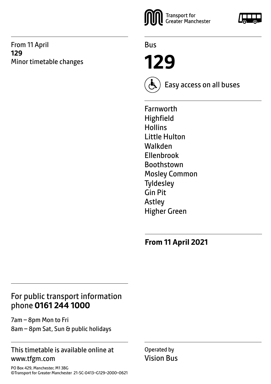From 11 April **129** Minor timetable changes



Bus

**129**



Easy access on all buses

Farnworth Highfield **Hollins** Little Hulton Walkden Ellenbrook Boothstown Mosley Common **Tyldesley** Gin Pit Astley Higher Green

**From 11 April 2021**

# For public transport information phone **0161 244 1000**

7am – 8pm Mon to Fri 8am – 8pm Sat, Sun & public holidays

### This timetable is available online at www.tfgm.com

PO Box 429, Manchester, M1 3BG ©Transport for Greater Manchester 21-SC-0413–G129–2000–0621 Operated by Vision Bus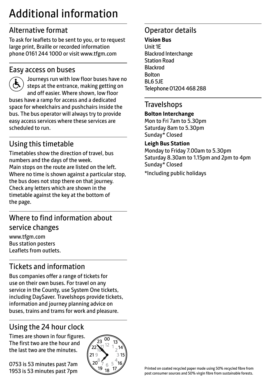# Additional information

# Alternative format

To ask for leaflets to be sent to you, or to request large print, Braille or recorded information phone 0161 244 1000 or visit www.tfgm.com

### Easy access on buses



 Journeys run with low floor buses have no steps at the entrance, making getting on and off easier. Where shown, low floor buses have a ramp for access and a dedicated space for wheelchairs and pushchairs inside the bus. The bus operator will always try to provide easy access services where these services are scheduled to run.

# Using this timetable

Timetables show the direction of travel, bus numbers and the days of the week. Main stops on the route are listed on the left. Where no time is shown against a particular stop, the bus does not stop there on that journey. Check any letters which are shown in the timetable against the key at the bottom of the page.

# Where to find information about service changes

www.tfgm.com Bus station posters Leaflets from outlets.

# Tickets and information

Bus companies offer a range of tickets for use on their own buses. For travel on any service in the County, use System One tickets, including DaySaver. Travelshops provide tickets, information and journey planning advice on buses, trains and trams for work and pleasure.

# Using the 24 hour clock

Times are shown in four figures. The first two are the hour and the last two are the minutes.

0753 is 53 minutes past 7am 1953 is 53 minutes past 7pm



# Operator details

#### **Vision Bus**

Unit 1E Blackrod Interchange Station Road Blackrod Bolton BL6 5JE Telephone 01204 468 288

### **Travelshops**

#### **Bolton Interchange**

Mon to Fri 7am to 5.30pm Saturday 8am to 5.30pm Sunday\* Closed

#### **Leigh Bus Station**

Monday to Friday 7.00am to 5.30pm Saturday 8.30am to 1.15pm and 2pm to 4pm Sunday\* Closed

\*Including public holidays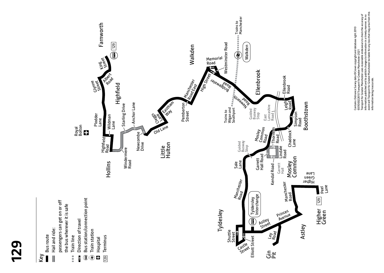



Contains Ordnance Survey data @Crown copyright and database right 2010<br>@0100022610 Transport for Greater Manchester 2021<br>Transport for Greater Manchester uses reasonable endeavours to check the accuracy of<br>informall Transp event will Transport for Greater Manchester be liable for any loss that may arise from this Transport for Greater Manchester uses reasonable endeavours to check the accuracy of information published and to publish changes to information in a timely manner. In no Contains Ordnance Survey data ©Crown copyright and database right 2010 ©0100022610 Transport for Greater Manchester 2021 information being inaccurate.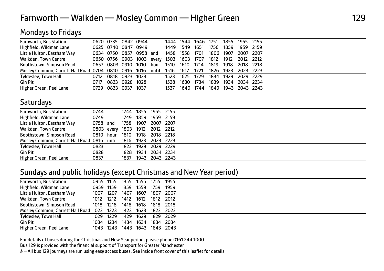## Mondays to Fridays

| Farnworth, Bus Station                                               |      | 0620 0735 0842 0944                                          |           |           | 1444 1544 | 1646 1751 |                     | 1855 1955 2155 |  |  |  |
|----------------------------------------------------------------------|------|--------------------------------------------------------------|-----------|-----------|-----------|-----------|---------------------|----------------|--|--|--|
| Highfield, Wildman Lane                                              |      | 0625 0740 0847 0949                                          |           | 1449 1549 |           | 1651      | 1756 1859 1959 2159 |                |  |  |  |
| Little Hulton, Eastham Way                                           |      | 0634 0750 0857 0958 and                                      |           | 1458 1558 |           | 1701      | 1806 1907 2007 2207 |                |  |  |  |
| Walkden, Town Centre                                                 |      | 0650 0756 0903 1003 every 1503 1603 1707 1812 1912 2012 2212 |           |           |           |           |                     |                |  |  |  |
| Boothstown, Simpson Road                                             |      | 0657 0803 0910 1010                                          | hour 1510 |           | 1610      | 1714      | 1819 1918 2018 2218 |                |  |  |  |
| Mosley Common, Garrett Hall Road 0704 0810 0916 1016 until 1516 1617 |      |                                                              |           |           |           | 1721      | 1826 1923 2023 2223 |                |  |  |  |
| Tyldesley, Town Hall                                                 |      | 0712 0818 0923 1023                                          |           | 1523 1625 |           | 1729      | 1834 1929 2029 2229 |                |  |  |  |
| Gin Pit                                                              | 0717 | 0823 0928 1028                                               |           | 1528      | 1630      | 1734      | 1839 1934 2034 2234 |                |  |  |  |
| Higher Green, Peel Lane                                              |      | 0729 0833 0937 1037                                          |           | 1537      | 1640      | 1744      | 1849 1943 2043 2243 |                |  |  |  |

### **Saturdays**

| Farnworth, Bus Station                                          | 0744      |      |           | 1744 1855 1955 2155            |  |
|-----------------------------------------------------------------|-----------|------|-----------|--------------------------------|--|
| Highfield, Wildman Lane                                         | 0749      | 1749 | 1859      | 1959 2159                      |  |
| Little Hulton, Eastham Way                                      | 0758 and  |      | 1758 1907 | 2007 2207                      |  |
| Walkden, Town Centre                                            |           |      |           | 0803 every 1803 1912 2012 2212 |  |
| Boothstown, Simpson Road                                        | 0810 hour |      |           | 1810 1918 2018 2218            |  |
| Mosley Common, Garrett Hall Road 0816 until 1816 1923 2023 2223 |           |      |           |                                |  |
| Tyldesley, Town Hall                                            | 0823      |      |           | 1823 1929 2029 2229            |  |
| Gin Pit                                                         | 0828      |      |           | 1828 1934 2034 2234            |  |
| Higher Green, Peel Lane                                         | 0837      |      |           | 1837 1943 2043 2243            |  |
|                                                                 |           |      |           |                                |  |

### Sundays and public holidays (except Christmas and New Year period)

| <b>Farnworth, Bus Station</b>                                  | 0955 1155 |           |           |      | 1355 1555 1755 1955 |      |  |
|----------------------------------------------------------------|-----------|-----------|-----------|------|---------------------|------|--|
| Highfield, Wildman Lane                                        | 0959 1159 |           | 1359      | 1559 | 1759                | 1959 |  |
| Little Hulton, Eastham Way                                     | 1007 1207 |           | 1407      | 1607 | 1807                | 2007 |  |
| Walkden, Town Centre                                           | 1012 1212 |           | 1412 1612 |      | 1812 2012           |      |  |
| Boothstown, Simpson Road                                       | 1018 1218 |           | 1418 1618 |      | 1818 2018           |      |  |
| Mosley Common, Garrett Hall Road 1023 1223 1423 1623 1823 2023 |           |           |           |      |                     |      |  |
| Tyldesley, Town Hall                                           | 1029      | 1229      | 1429      | 1629 | 1829 2029           |      |  |
| Gin Pit                                                        |           | 1034 1234 | 1434      | 1634 | 1834 2034           |      |  |
| Higher Green, Peel Lane                                        |           | 1043 1243 | 1443      | 1643 | 1843 2043           |      |  |
|                                                                |           |           |           |      |                     |      |  |

For details of buses during the Christmas and New Year period, please phone 0161 244 1000

Bus 129 is provided with the financial support of Transport for Greater Manchester

W– All bus 129 journeys are run using easy access buses. See inside front cover of this leaflet for details